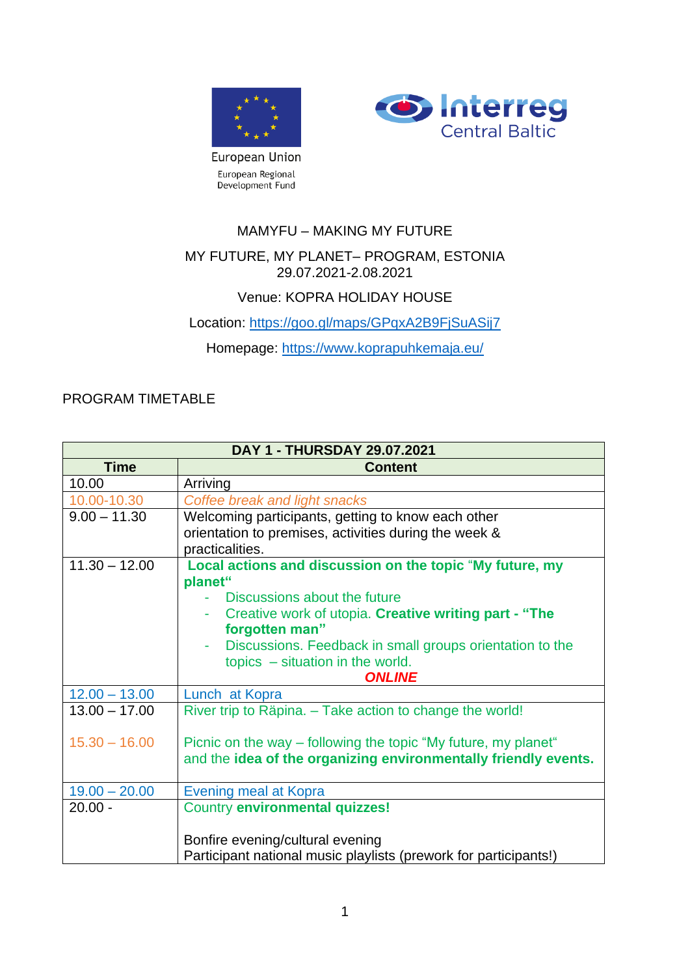



MAMYFU – MAKING MY FUTURE

### MY FUTURE, MY PLANET– PROGRAM, ESTONIA 29.07.2021-2.08.2021

## Venue: KOPRA HOLIDAY HOUSE

Location:<https://goo.gl/maps/GPqxA2B9FjSuASij7>

Homepage:<https://www.koprapuhkemaja.eu/>

### PROGRAM TIMETABLE

| DAY 1 - THURSDAY 29.07.2021 |                                                                  |  |
|-----------------------------|------------------------------------------------------------------|--|
| <b>Time</b>                 | <b>Content</b>                                                   |  |
| 10.00                       | Arriving                                                         |  |
| 10.00-10.30                 | Coffee break and light snacks                                    |  |
| $9.00 - 11.30$              | Welcoming participants, getting to know each other               |  |
|                             | orientation to premises, activities during the week &            |  |
|                             | practicalities.                                                  |  |
| $11.30 - 12.00$             | Local actions and discussion on the topic "My future, my         |  |
|                             | planet"                                                          |  |
|                             | - Discussions about the future                                   |  |
|                             | Creative work of utopia. Creative writing part - "The            |  |
|                             | forgotten man"                                                   |  |
|                             | Discussions. Feedback in small groups orientation to the<br>٠    |  |
|                             | topics $-$ situation in the world.                               |  |
|                             | <b>ONLINE</b>                                                    |  |
| $12.00 - 13.00$             | Lunch at Kopra                                                   |  |
| $13.00 - 17.00$             | River trip to Räpina. - Take action to change the world!         |  |
|                             |                                                                  |  |
| $15.30 - 16.00$             | Picnic on the way – following the topic "My future, my planet"   |  |
|                             | and the idea of the organizing environmentally friendly events.  |  |
| $19.00 - 20.00$             | Evening meal at Kopra                                            |  |
| $20.00 -$                   | Country environmental quizzes!                                   |  |
|                             |                                                                  |  |
|                             | Bonfire evening/cultural evening                                 |  |
|                             | Participant national music playlists (prework for participants!) |  |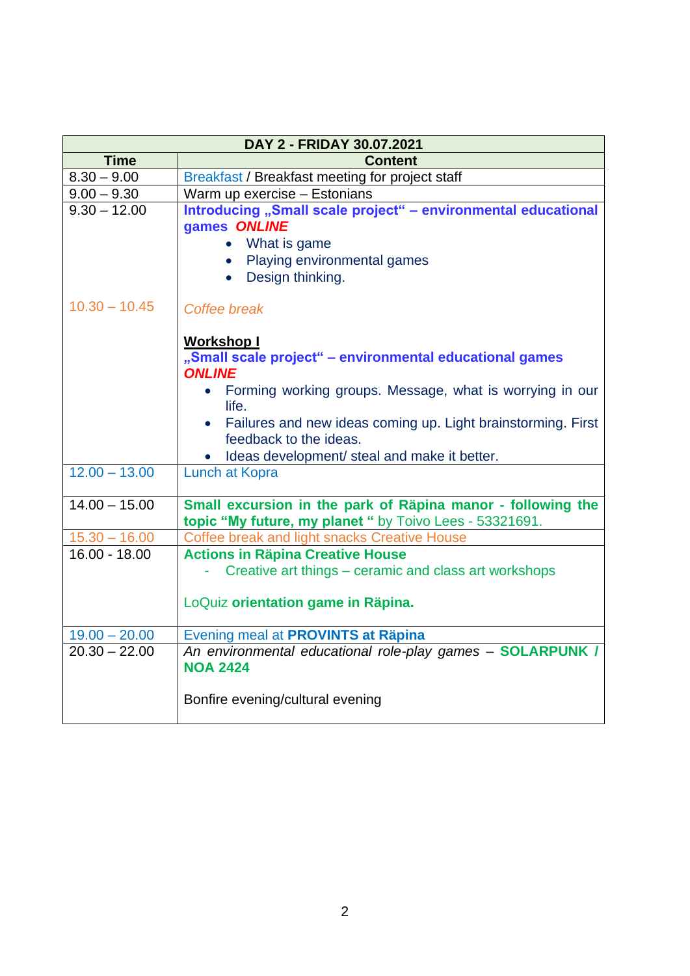| DAY 2 - FRIDAY 30.07.2021 |                                                                                                                                                      |  |  |
|---------------------------|------------------------------------------------------------------------------------------------------------------------------------------------------|--|--|
| <b>Time</b>               | <b>Content</b>                                                                                                                                       |  |  |
| $8.30 - 9.00$             | Breakfast / Breakfast meeting for project staff                                                                                                      |  |  |
| $9.00 - 9.30$             | Warm up exercise - Estonians                                                                                                                         |  |  |
| $9.30 - 12.00$            | Introducing "Small scale project" - environmental educational<br>games ONLINE<br>• What is game<br>• Playing environmental games<br>Design thinking. |  |  |
| $10.30 - 10.45$           | Coffee break<br><b>Workshop I</b>                                                                                                                    |  |  |
|                           | "Small scale project" - environmental educational games<br><b>ONLINE</b>                                                                             |  |  |
|                           | • Forming working groups. Message, what is worrying in our<br>life.                                                                                  |  |  |
|                           | Failures and new ideas coming up. Light brainstorming. First<br>feedback to the ideas.                                                               |  |  |
|                           | Ideas development/ steal and make it better.                                                                                                         |  |  |
| $12.00 - 13.00$           | <b>Lunch at Kopra</b>                                                                                                                                |  |  |
| $14.00 - 15.00$           | Small excursion in the park of Räpina manor - following the<br>topic "My future, my planet " by Toivo Lees - 53321691.                               |  |  |
| $15.30 - 16.00$           | Coffee break and light snacks Creative House                                                                                                         |  |  |
| $16.00 - 18.00$           | <b>Actions in Räpina Creative House</b><br>Creative art things – ceramic and class art workshops                                                     |  |  |
|                           | LoQuiz orientation game in Räpina.                                                                                                                   |  |  |
| $19.00 - 20.00$           | Evening meal at PROVINTS at Räpina                                                                                                                   |  |  |
| $20.30 - 22.00$           | An environmental educational role-play games - SOLARPUNK /<br><b>NOA 2424</b>                                                                        |  |  |
|                           | Bonfire evening/cultural evening                                                                                                                     |  |  |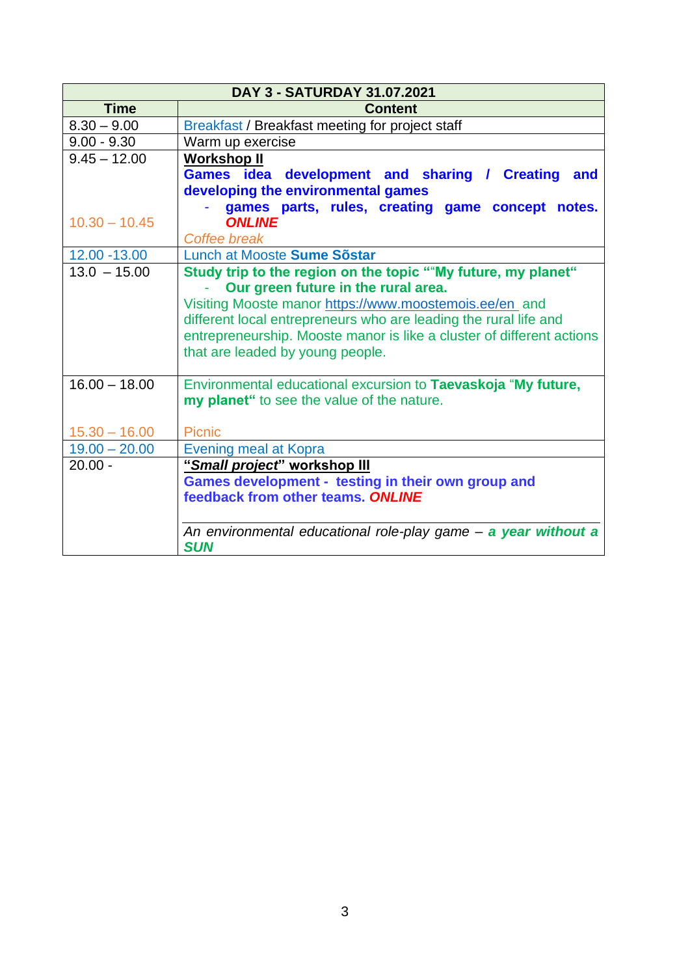| DAY 3 - SATURDAY 31.07.2021 |                                                                       |  |  |  |
|-----------------------------|-----------------------------------------------------------------------|--|--|--|
| <b>Time</b>                 | <b>Content</b>                                                        |  |  |  |
| $8.30 - 9.00$               | Breakfast / Breakfast meeting for project staff                       |  |  |  |
| $9.00 - 9.30$               | Warm up exercise                                                      |  |  |  |
| $9.45 - 12.00$              | <b>Workshop II</b>                                                    |  |  |  |
|                             | Games idea development and sharing / Creating<br>and                  |  |  |  |
|                             | developing the environmental games                                    |  |  |  |
|                             | games parts, rules, creating game concept notes.                      |  |  |  |
| $10.30 - 10.45$             | <b>ONLINE</b>                                                         |  |  |  |
|                             | Coffee break                                                          |  |  |  |
| 12.00 - 13.00               | Lunch at Mooste Sume Sõstar                                           |  |  |  |
| $13.0 - 15.00$              | Study trip to the region on the topic ""My future, my planet"         |  |  |  |
|                             | Our green future in the rural area.                                   |  |  |  |
|                             | Visiting Mooste manor https://www.moostemois.ee/en_and                |  |  |  |
|                             | different local entrepreneurs who are leading the rural life and      |  |  |  |
|                             | entrepreneurship. Mooste manor is like a cluster of different actions |  |  |  |
|                             | that are leaded by young people.                                      |  |  |  |
|                             |                                                                       |  |  |  |
| $16.00 - 18.00$             | Environmental educational excursion to Taevaskoja "My future,         |  |  |  |
|                             | my planet" to see the value of the nature.                            |  |  |  |
|                             |                                                                       |  |  |  |
| $15.30 - 16.00$             | <b>Picnic</b>                                                         |  |  |  |
| $19.00 - 20.00$             | Evening meal at Kopra                                                 |  |  |  |
| $20.00 -$                   | "Small project" workshop III                                          |  |  |  |
|                             | Games development - testing in their own group and                    |  |  |  |
|                             | feedback from other teams. ONLINE                                     |  |  |  |
|                             |                                                                       |  |  |  |
|                             | An environmental educational role-play game - a year without a        |  |  |  |
|                             | <b>SUN</b>                                                            |  |  |  |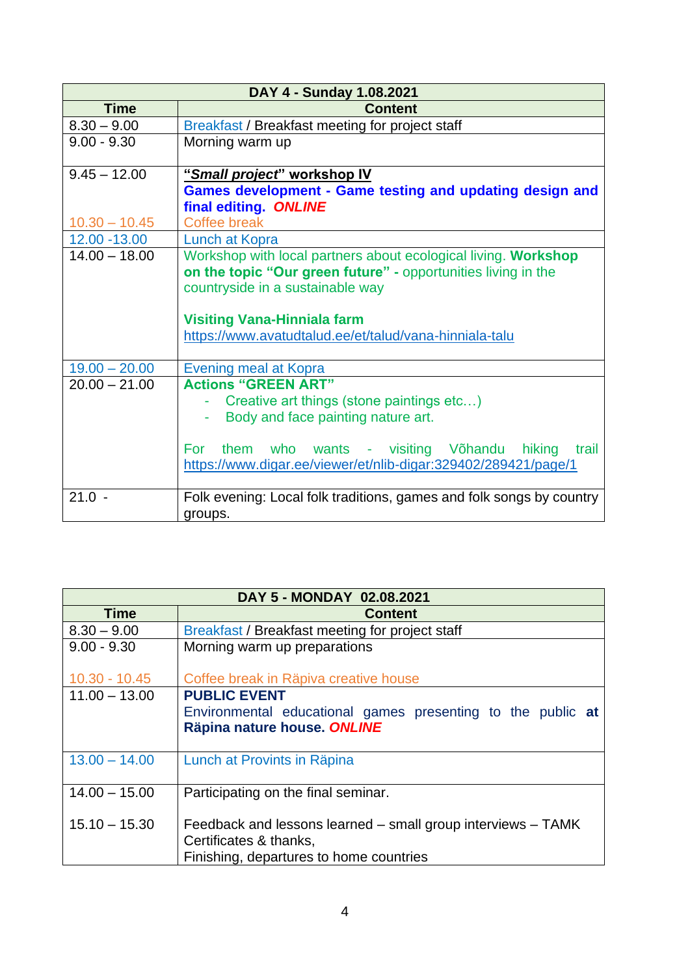| DAY 4 - Sunday 1.08.2021 |                                                                                                                                                                                                                                                |  |  |
|--------------------------|------------------------------------------------------------------------------------------------------------------------------------------------------------------------------------------------------------------------------------------------|--|--|
| <b>Time</b>              | <b>Content</b>                                                                                                                                                                                                                                 |  |  |
| $8.30 - 9.00$            | Breakfast / Breakfast meeting for project staff                                                                                                                                                                                                |  |  |
| $9.00 - 9.30$            | Morning warm up                                                                                                                                                                                                                                |  |  |
| $9.45 - 12.00$           | "Small project" workshop IV                                                                                                                                                                                                                    |  |  |
|                          | <b>Games development - Game testing and updating design and</b><br>final editing. ONLINE                                                                                                                                                       |  |  |
| $10.30 - 10.45$          | Coffee break                                                                                                                                                                                                                                   |  |  |
| 12.00 - 13.00            | <b>Lunch at Kopra</b>                                                                                                                                                                                                                          |  |  |
| $14.00 - 18.00$          | Workshop with local partners about ecological living. Workshop<br>on the topic "Our green future" - opportunities living in the<br>countryside in a sustainable way                                                                            |  |  |
|                          | <b>Visiting Vana-Hinniala farm</b><br>https://www.avatudtalud.ee/et/talud/vana-hinniala-talu                                                                                                                                                   |  |  |
| $19.00 - 20.00$          | Evening meal at Kopra                                                                                                                                                                                                                          |  |  |
| $20.00 - 21.00$          | <b>Actions "GREEN ART"</b><br>Creative art things (stone paintings etc)<br>Body and face painting nature art.<br>them who wants - visiting Võhandu<br>hiking<br>For<br>trail<br>https://www.digar.ee/viewer/et/nlib-digar:329402/289421/page/1 |  |  |
| $21.0 -$                 | Folk evening: Local folk traditions, games and folk songs by country<br>groups.                                                                                                                                                                |  |  |

| DAY 5 - MONDAY 02.08.2021 |                                                                                                                                   |  |  |
|---------------------------|-----------------------------------------------------------------------------------------------------------------------------------|--|--|
| <b>Time</b>               | <b>Content</b>                                                                                                                    |  |  |
| $8.30 - 9.00$             | Breakfast / Breakfast meeting for project staff                                                                                   |  |  |
| $9.00 - 9.30$             | Morning warm up preparations                                                                                                      |  |  |
| $10.30 - 10.45$           | Coffee break in Räpiva creative house                                                                                             |  |  |
| $11.00 - 13.00$           | <b>PUBLIC EVENT</b>                                                                                                               |  |  |
|                           | Environmental educational games presenting to the public at<br>Räpina nature house. ONLINE                                        |  |  |
| $13.00 - 14.00$           | Lunch at Provints in Räpina                                                                                                       |  |  |
| $14.00 - 15.00$           | Participating on the final seminar.                                                                                               |  |  |
| $15.10 - 15.30$           | Feedback and lessons learned – small group interviews – TAMK<br>Certificates & thanks,<br>Finishing, departures to home countries |  |  |